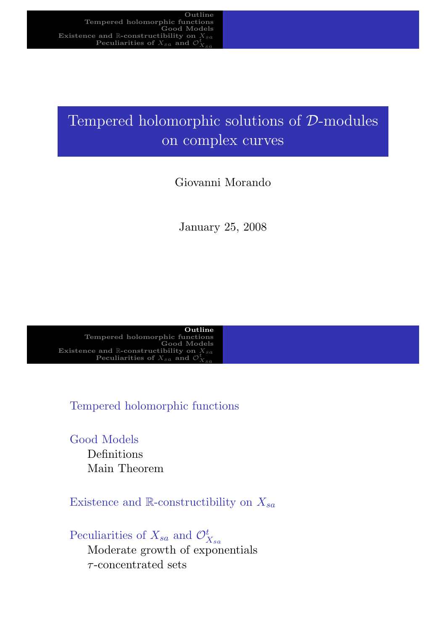# Tempered holomorphic solutions of D-modules on complex curves

## Giovanni Morando

January 25, 2008

Outline Tempered holomorphic functions Good Models Existence and R-constructibility on  $X_{sa}$ Peculiarities of  $X_{sa}$  and  $\mathcal{O}$  $X_{sa}$ 

Tempered holomorphic functions

[Good Models](#page-2-0) [Definition](#page-4-0)s Main Theorem

[Ex](#page-2-0)istence and R-constructibility on  $X_{sa}$ 

<span id="page-0-0"></span>Peculiarities of  $X_{sa}$  and  $\mathcal{O}_{X_{sa}}^t$ [Moderate growth](#page-3-0) of exponentials  $\tau$ [-concent](#page-4-0)rated sets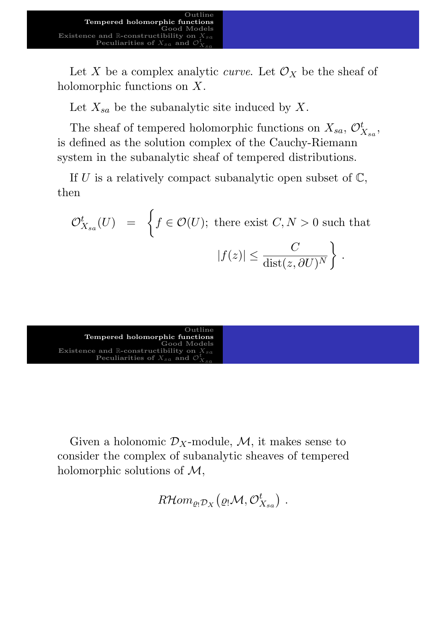Let X be a complex analytic *curve*. Let  $\mathcal{O}_X$  be the sheaf of holomorphic functions on X.

Let  $X_{sa}$  be the subanalytic site induced by X.

The sheaf of tempered holomorphic functions on  $X_{sa}$ ,  $\mathcal{O}_{X_{sa}}^t$ , is defined as the solution complex of the Cauchy-Riemann system in the subanalytic sheaf of tempered distributions.

If U is a relatively compact subanalytic open subset of  $\mathbb{C}$ , then

$$
\mathcal{O}_{X_{sa}}^t(U) = \left\{ f \in \mathcal{O}(U); \text{ there exist } C, N > 0 \text{ such that} \right\}
$$

$$
|f(z)| \le \frac{C}{\text{dist}(z, \partial U)^N} \right\}.
$$

Outline Tempered holomorphic functions Good Models Existence and R-constructibility on  $X_{sa}$ Peculiarities of  $X_{sa}$  and  $\mathcal O$  $X_{sa}$ 

<span id="page-1-0"></span>[Given](#page-2-0)[a](#page-2-0) [holon](#page-2-0)omic  $\mathcal{D}_X$ -module, M, it makes sense to [consider](#page-4-0) [the](#page-4-0) [com](#page-4-0)plex of subanalytic sheaves of tempered holomorphic solutions of  $\mathcal{M}$ ,

 $R\mathcal{H} om_{\varrho_!\mathcal{D}_X}\big(\varrho_!\mathcal{M}, \mathcal{O}_{X_{sa}}^t\big)\;.$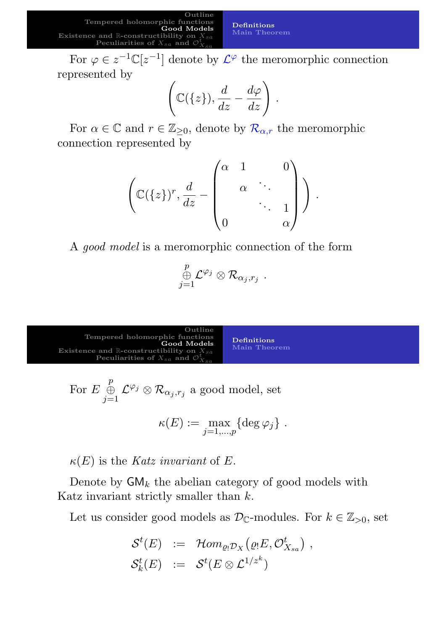Tempered holomorphic functions Good Models Existence and  $\mathbb R$ -constructibility on Peculiarities of  $X_{sa}$  and  $X_{sa}$ 

Definitions Main Theorem

.

For  $\varphi \in z^{-1} \mathbb{C}[z^{-1}]$  denote by  $\mathcal{L}^{\varphi}$  the meromorphic connection represented by

Outline

$$
\left(\mathbb{C}(\{z\}),\frac{d}{dz}-\frac{d\varphi}{dz}\right).
$$

For  $\alpha \in \mathbb{C}$  and  $r \in \mathbb{Z}_{\geq 0}$ , denote by  $\mathcal{R}_{\alpha,r}$  the meromorphic connection represented by

$$
\left(\mathbb{C}(\{z\})^r, \frac{d}{dz} - \begin{pmatrix} \alpha & 1 & 0 \\ & \alpha & \ddots & \\ & & \ddots & 1 \\ 0 & & & \alpha \end{pmatrix}\right)
$$

A good model is a meromorphic connection of the form

$$
\mathop \oplus \limits_{j=1}^p {\cal L}^{\varphi_j} \otimes {\cal R}_{\alpha_j,r_j} \; .
$$



For 
$$
E \bigoplus_{j=1}^p \mathcal{L}^{\varphi_j} \otimes \mathcal{R}_{\alpha_j,r_j}
$$
 a good model, set

$$
\kappa(E) := \max_{j=1,\dots,p} \{ \deg \varphi_j \} .
$$

 $\kappa(E)$  is the Katz invariant of E.

Denote by  $GM_k$  the abelian category of good models with Katz invariant strictly smaller than  $k$ .

<span id="page-2-0"></span>Let us consider good models as  $\mathcal{D}_{\mathbb{C}}$ -modules. For  $k \in \mathbb{Z}_{>0}$ , set

$$
\begin{array}{lcl} \mathcal{S}^t(E) & := & \mathcal{H}om_{\varrho_!\mathcal{D}_X}\big(\varrho_!\!\!\!E, \mathcal{O}^t_{X_{sa}}\big) \ , \\ \mathcal{S}^t_k(E) & := & \mathcal{S}^t(E\otimes \mathcal{L}^{1/z^k}) \end{array}
$$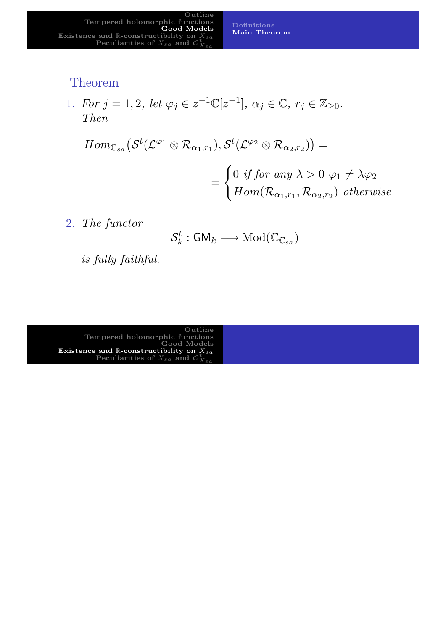#### Theorem

1. For  $j = 1, 2$ , let  $\varphi_j \in z^{-1} \mathbb{C}[z^{-1}], \alpha_j \in \mathbb{C}, r_j \in \mathbb{Z}_{\geq 0}$ . Then

$$
Hom_{\mathbb{C}_{sa}}(\mathcal{S}^{t}(\mathcal{L}^{\varphi_{1}} \otimes \mathcal{R}_{\alpha_{1},r_{1}}), \mathcal{S}^{t}(\mathcal{L}^{\varphi_{2}} \otimes \mathcal{R}_{\alpha_{2},r_{2}})) =
$$
  
= 
$$
\begin{cases} 0 \text{ if for any } \lambda > 0 \varphi_{1} \neq \lambda \varphi_{2} \\ Hom(\mathcal{R}_{\alpha_{1},r_{1}}, \mathcal{R}_{\alpha_{2},r_{2}}) \text{ otherwise} \end{cases}
$$

Definitions Main Theorem

2. The functor

$$
\mathcal{S}_k^t : \mathsf{GM}_k \longrightarrow \mathrm{Mod}(\mathbb{C}_{\mathbb{C}_{sa}})
$$

is fully faithful.

<span id="page-3-0"></span>Outline Tempered holomorphic functions  $\rm_{Good~Models}$ Existence and R-constructibility on  $X_{sa}$ Peculiarities of  $X_{sa}$  and  $\mathcal{O}_{X_{sa}}^t$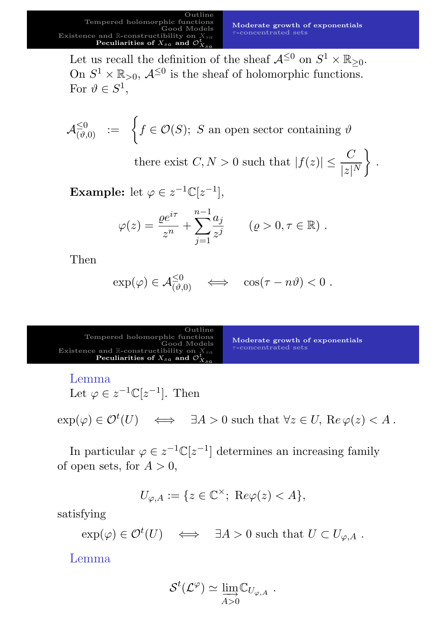.

Let us recall the definition of the sheaf  $\mathcal{A}^{\leq 0}$  on  $S^1 \times \mathbb{R}_{\geq 0}$ . On  $S^1 \times \mathbb{R}_{>0}$ ,  $\mathcal{A}^{\leq 0}$  is the sheaf of holomorphic functions. For  $\vartheta \in S^1$ ,

$$
\mathcal{A}_{(\vartheta,0)}^{\leq 0} \quad := \quad \left\{ f \in \mathcal{O}(S); \,\, S \,\, \text{an open sector containing} \,\, \vartheta \right\}
$$

there exist  $C, N > 0$  such that  $|f(z)| \leq \frac{C}{1+1}$  $|z|^N$  $\mathcal{L}$ 

**Example:** let  $\varphi \in z^{-1} \mathbb{C}[z^{-1}],$ 

$$
\varphi(z) = \frac{\varrho e^{i\tau}}{z^n} + \sum_{j=1}^{n-1} \frac{a_j}{z^j}
$$
  $(\varrho > 0, \tau \in \mathbb{R})$ .

Then

$$
\exp(\varphi) \in \mathcal{A}_{(\vartheta,0)}^{\leq 0} \quad \Longleftrightarrow \quad \cos(\tau - n\vartheta) < 0 \; .
$$

| Outline<br>Tempered holomorphic functions<br>Good Models<br>Existence and R-constructibility on $X_{sa}$<br>Peculiarities of $X_{sa}$ and $\mathcal{O}_{X_{sa}}^t$ | Moderate growth of exponentials<br>$\tau$ -concentrated sets |
|--------------------------------------------------------------------------------------------------------------------------------------------------------------------|--------------------------------------------------------------|
|--------------------------------------------------------------------------------------------------------------------------------------------------------------------|--------------------------------------------------------------|

Lemma

Let  $\varphi \in z^{-1} \mathbb{C}[z^{-1}]$ . Then

 $\exp(\varphi) \in \mathcal{O}^t(U) \iff \exists A > 0 \text{ such that } \forall z \in U, \text{ Re } \varphi(z) < A.$ 

[In particular](#page-4-0)  $\varphi \in z^{-1} \mathbb{C}[z^{-1}]$  $\varphi \in z^{-1} \mathbb{C}[z^{-1}]$  $\varphi \in z^{-1} \mathbb{C}[z^{-1}]$  determines an increasing family of open sets, for  $A > 0$ ,

 $U_{\varphi,A} := \{ z \in \mathbb{C}^\times; \; \text{Re}\varphi(z) < A \},\;$ 

satisfying

 $\exp(\varphi) \in \mathcal{O}^t(U) \iff \exists A > 0 \text{ such that } U \subset U_{\varphi,A}.$ 

<span id="page-4-0"></span>Lemma

$$
\mathcal{S}^t(\mathcal{L}^{\varphi}) \simeq \lim_{A>0} \mathbb{C}_{U_{\varphi,A}}.
$$